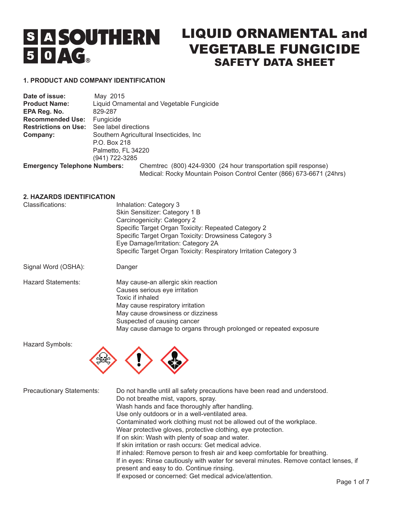# **S A SOUTHERN**  $50AG$

# LIQUID ORNAMENTAL and VEGETABLE FUNGICIDE SAFETY DATA SHEET

# **1. PRODUCT AND COMPANY IDENTIFICATION**

| Date of issue:                      | May 2015             |                                                                      |
|-------------------------------------|----------------------|----------------------------------------------------------------------|
| <b>Product Name:</b>                |                      | Liquid Ornamental and Vegetable Fungicide                            |
| EPA Reg. No.                        | 829-287              |                                                                      |
| <b>Recommended Use:</b>             | Fungicide            |                                                                      |
| <b>Restrictions on Use:</b>         | See label directions |                                                                      |
| Company:                            |                      | Southern Agricultural Insecticides, Inc.                             |
|                                     | P.O. Box 218         |                                                                      |
|                                     | Palmetto, FL 34220   |                                                                      |
|                                     | (941) 722-3285       |                                                                      |
| <b>Emergency Telephone Numbers:</b> |                      | Chemtrec (800) 424-9300 (24 hour transportation spill response)      |
|                                     |                      | Medical: Rocky Mountain Poison Control Center (866) 673-6671 (24hrs) |

#### **2. HAZARDS IDENTIFICATION**

| Classifications:    | Inhalation: Category 3<br>Skin Sensitizer: Category 1 B<br>Carcinogenicity: Category 2<br>Specific Target Organ Toxicity: Repeated Category 2<br>Specific Target Organ Toxicity: Drowsiness Category 3<br>Eye Damage/Irritation: Category 2A<br>Specific Target Organ Toxicity: Respiratory Irritation Category 3 |
|---------------------|-------------------------------------------------------------------------------------------------------------------------------------------------------------------------------------------------------------------------------------------------------------------------------------------------------------------|
| Signal Word (OSHA): | Danger                                                                                                                                                                                                                                                                                                            |

| <b>Hazard Statements:</b> | May cause-an allergic skin reaction                               |
|---------------------------|-------------------------------------------------------------------|
|                           | Causes serious eye irritation                                     |
|                           | Toxic if inhaled                                                  |
|                           | May cause respiratory irritation                                  |
|                           | May cause drowsiness or dizziness                                 |
|                           | Suspected of causing cancer                                       |
|                           | May cause damage to organs through prolonged or repeated exposure |

Hazard Symbols:



Precautionary Statements: Do not handle until all safety precautions have been read and understood. Do not breathe mist, vapors, spray. Wash hands and face thoroughly after handling. Use only outdoors or in a well-ventilated area. Contaminated work clothing must not be allowed out of the workplace. Wear protective gloves, protective clothing, eye protection. If on skin: Wash with plenty of soap and water. If skin irritation or rash occurs: Get medical advice. If inhaled: Remove person to fresh air and keep comfortable for breathing. If in eyes: Rinse cautiously with water for several minutes. Remove contact lenses, if present and easy to do. Continue rinsing. If exposed or concerned: Get medical advice/attention.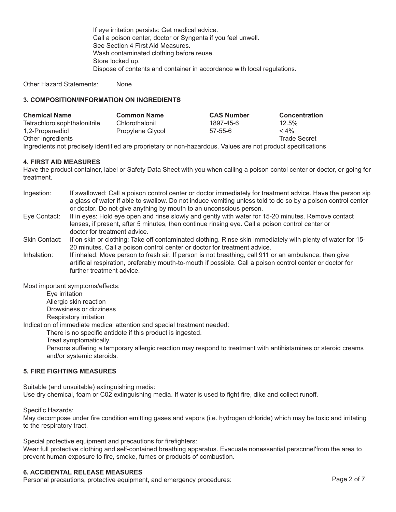If eye irritation persists: Get medical advice. Call a poison center, doctor or Syngenta if you feel unwell. See Section 4 First Aid Measures. Wash contaminated clothing before reuse. Store locked up. Dispose of contents and container in accordance with local regulations.

Other Hazard Statements: None

# **3. COMPOSITION/INFORMATION ON INGREDIENTS**

| <b>Chemical Name</b>                                                                                         | <b>Common Name</b> | <b>CAS Number</b> | <b>Concentration</b> |
|--------------------------------------------------------------------------------------------------------------|--------------------|-------------------|----------------------|
| Tetrachloroisophthalonitrile                                                                                 | Chlorothalonil     | 1897-45-6         | 12.5%                |
| 1,2-Propanediol                                                                                              | Propylene Glycol   | $57 - 55 - 6$     | $< 4\%$              |
| Other ingredients                                                                                            |                    |                   | <b>Trade Secret</b>  |
| Ingredients not precisely identified are proprietary or non-hazardous. Values are not product specifications |                    |                   |                      |

#### **4. FIRST AID MEASURES**

Have the product container, label or Safety Data Sheet with you when calling a poison contol center or doctor, or going for treatment.

- Ingestion: If swallowed: Call a poison control center or doctor immediately for treatment advice. Have the person sip a glass of water if able to swallow. Do not induce vomiting unless told to do so by a poison control center or doctor. Do not give anything by mouth to an unconscious person.
- Eye Contact: If in eyes: Hold eye open and rinse slowly and gently with water for 15-20 minutes. Remove contact lenses, if present, after 5 minutes, then continue rinsing eye. Call a poison control center or doctor for treatment advice.
- Skin Contact: If on skin or clothing: Take off contaminated clothing. Rinse skin immediately with plenty of water for 15- 20 minutes. Call a poison control center or doctor for treatment advice.
- Inhalation: If inhaled: Move person to fresh air. If person is not breathing, call 911 or an ambulance, then give artificial respiration, preferably mouth-to-mouth if possible. Call a poison control center or doctor for further treatment advice.

Most important symptoms/effects:

Eye irritation Allergic skin reaction Drowsiness or dizziness

Respiratory irritation

Indication of immediate medical attention and special treatment needed:

There is no specific antidote if this product is ingested.

Treat symptomatically.

Persons suffering a temporary allergic reaction may respond to treatment with antihistamines or steroid creams and/or systemic steroids.

# **5. FIRE FIGHTING MEASURES**

Suitable (and unsuitable) extinguishing media: Use dry chemical, foam or C02 extinguishing media. If water is used to fight fire, dike and collect runoff.

Specific Hazards:

May decompose under fire condition emitting gases and vapors (i.e. hydrogen chloride) which may be toxic and irritating to the respiratory tract.

Special protective equipment and precautions for firefighters:

Wear full protective clothing and self-contained breathing apparatus. Evacuate nonessential perscnnel'from the area to prevent human exposure to fire, smoke, fumes or products of combustion.

#### **6. ACCIDENTAL RELEASE MEASURES**

Personal precautions, protective equipment, and emergency procedures: Page 2 of 7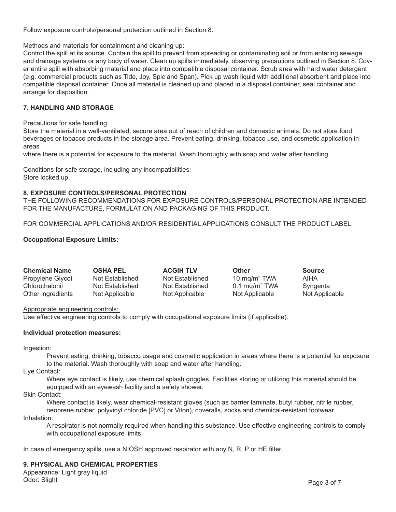Follow exposure controls/personal protection outlined in Section 8.

Methods and materials for containment and cleaning up:

Control the spill at its source. Contain the spill to prevent from spreading or contaminating soil or from entering sewage and drainage systems or any body of water. Clean up spills immediately, observing precautions outlined in Section 8. Cover entire spill with absorbing material and place into compatible disposal container. Scrub area with hard water detergent (e.g. commercial products such as Tide, Joy, Spic and Span). Pick up wash liquid with additional absorbent and place into compatible disposal container. Once all material is cleaned up and placed in a disposal container, seal container and arrange for disposition.

#### **7. HANDLING AND STORAGE**

Precautions for safe handling:

Store the material in a well-ventilated, secure area out of reach of children and domestic animals. Do not store food, beverages or tobacco products in the storage area. Prevent eating, drinking, tobacco use, and cosmetic application in areas

where there is a potential for exposure to the material. Wash thoroughly with soap and water after handling.

Conditions for safe storage, including any incompatibilities: Store locked up.

#### **8. EXPOSURE CONTROLS/PERSONAL PROTECTION**

THE FOLLOWING RECOMMENDATIONS FOR EXPOSURE CONTROLS/PERSONAL PROTECTION ARE INTENDED FOR THE MANUFACTURE, FORMULATION AND PACKAGING OF THIS PRODUCT.

FOR COMMERCIAL APPLICATIONS AND/OR RESIDENTIAL APPLICATIONS CONSULT THE PRODUCT LABEL.

#### **Occupational Exposure Limits:**

| <b>Chemical Name</b> | <b>OSHA PEL</b> | <b>ACGIH TLV</b> | <b>Other</b>    | Source         |
|----------------------|-----------------|------------------|-----------------|----------------|
| Propylene Glycol     | Not Established | Not Established  | 10 rng/m" TWA   | AIHA           |
| Chlorothalonil       | Not Established | Not Established  | 0.1 rng/rn" TWA | Syngenta       |
| Other ingredients    | Not Applicable  | Not Applicable   | Not Applicable  | Not Applicable |

Appropriate engineering controls:

Use effective engineering controls to comply with occupational exposure limits (if applicable).

#### **Individual protection measures:**

Ingestion:

Prevent eating, drinking, tobacco usage and cosmetic application in areas where there is a potential for exposure to the material. Wash thoroughly with soap and water after handling.

Eye Contact:

Where eye contact is likely, use chemical splash goggles. Facilities storing or utilizing this material should be equipped with an eyewash facility and a safety shower.

#### Skin Contact:

Where contact is likely, wear chemical-resistant gloves (such as barrier laminate, butyl rubber, nitrile rubber, neoprene rubber, polyvinyl chloride [PVC] or Viton), coveralls, socks and chemical-resistant footwear. Inhalation:

A respirator is not normally required when handling this substance. Use effective engineering controls to comply with occupational exposure limits.

In case of emergency spills, use a NIOSH approved respirator with any N, R, P or HE filter.

#### **9. PHYSICAL AND CHEMICAL PROPERTIES**

Appearance: Light gray liquid Odor: Slight Page 3 of 7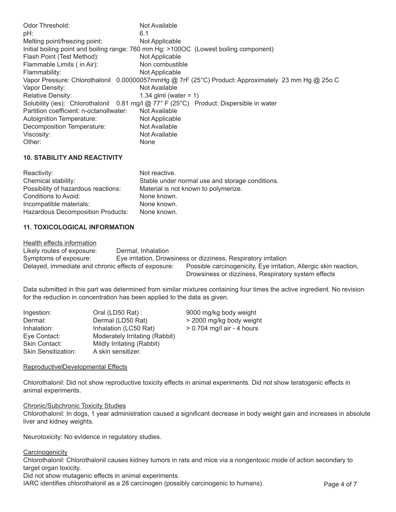| Odor Threshold:                         | Not Available                                                                                      |
|-----------------------------------------|----------------------------------------------------------------------------------------------------|
| pH:                                     | 6.1                                                                                                |
| Melting point/freezing point:           | Not Applicable                                                                                     |
|                                         | Initial boiling point and boiling range: 760 mm Hg: >100OC (Lowest boiling component)              |
| Flash Point (Test Method):              | Not Applicable                                                                                     |
| Flammable Limits (in Air):              | Non combustible                                                                                    |
| Flammability:                           | Not Applicable                                                                                     |
|                                         | Vapor Pressure: Chlorothalonil 0.00000057mmHg @ 7rF (25°C) Product: Approximately 23 mm Hg @ 25o C |
| Vapor Density:                          | Not Available                                                                                      |
| <b>Relative Density:</b>                | 1.34 glml (water = 1)                                                                              |
|                                         | Solubility (ies): Chlorothalonil 0.81 mg/l @ 77° F (25°C) Product: Dispersible in water            |
| Partition coefficient: n-octanollwater: | Not Available                                                                                      |
| Autoignition Temperature:               | Not Applicable                                                                                     |
| Decomposition Temperature:              | Not Available                                                                                      |
| Viscosity:                              | Not Available                                                                                      |
| Other:                                  | <b>None</b>                                                                                        |

# **10. STABILITY AND REACTIVITY**

| Reactivity:                         | Not reactive.                                   |
|-------------------------------------|-------------------------------------------------|
| Chemical stability:                 | Stable under normal use and storage conditions. |
| Possibility of hazardous reactions: | Material is not known to polymerize.            |
| Conditions to Avoid:                | None known.                                     |
| Incompatible materials:             | None known.                                     |
| Hazardous Decomposition Products:   | None known.                                     |

# **11. TOXICOLOGICAL INFORMATION**

Health effects information

Likely routes of exposure: Dermal, Inhalation Symptoms of exposure: Eye irritation, Drowsiness or dizziness, Respiratory irritation Delayed, immediate and chronic effects of exposure: Possible carcinogenicity, Eye irritation, Allergic skin reaction, Drowsiness or dizziness, Respiratory system effects

Data submitted in this part was determined from similar mixtures containing four times the active ingredient. No revision for the reduction in concentration has been applied to the data as given.

| Ingestion:                 | Oral (LD50 Rat):               | 9000 mg/kg body weight       |
|----------------------------|--------------------------------|------------------------------|
| Dermal:                    | Dermal (LD50 Rat)              | > 2000 mg/kg body weight     |
| Inhalation:                | Inhalation (LC50 Rat)          | $> 0.704$ mg/l air - 4 hours |
| Eye Contact:               | Moderately Irritating (Rabbit) |                              |
| Skin Contact:              | Mildly Irritating (Rabbit)     |                              |
| <b>Skin Sensitization:</b> | A skin sensitizer.             |                              |

#### ReproductivelDevelopmental Effects

Chlorothalonil: Did not show reproductive toxicity effects in animal experiments. Did not show teratogenic effects in animal experiments.

#### Chronic/Subchronic Toxicity Studies

Chlorothalonil: In dogs, 1 year administration caused a significant decrease in body weight gain and increases in absolute liver and kidney weights.

Neurotoxicity: No evidence in regulatory studies.

#### **Carcinogenicity**

Chlorothalonil: Chlorothalonil causes kidney tumors in rats and mice via a nongentoxic mode of action secondary to target organ toxicity.

Did not show mutagenic effects in animal experiments.

IARC identifies chlorothalonil as a 28 carcinogen (possibly carcinogenic to humans). Page 4 of 7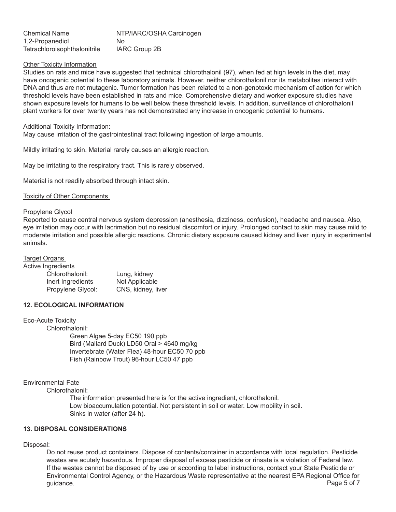| Chemical Name                | NTP/IARC/OSHA Carcinogen |
|------------------------------|--------------------------|
| 1,2-Propanediol              | No.                      |
| Tetrachloroisophthalonitrile | IARC Group 2B            |

#### Other Toxicity Information

Studies on rats and mice have suggested that technical chlorothalonil (97), when fed at high levels in the diet, may have oncogenic potential to these laboratory animals. However, neither chlorothalonil nor its metabolites interact with DNA and thus are not mutagenic. Tumor formation has been related to a non-genotoxic mechanism of action for which threshold levels have been established in rats and mice. Comprehensive dietary and worker exposure studies have shown exposure levels for humans to be well below these threshold levels. In addition, surveillance of chlorothalonil plant workers for over twenty years has not demonstrated any increase in oncogenic potential to humans.

#### Additional Toxicity Information:

May cause irritation of the gastrointestinal tract following ingestion of large amounts.

Mildly irritating to skin. Material rarely causes an allergic reaction.

May be irritating to the respiratory tract. This is rarely observed.

Material is not readily absorbed through intact skin.

#### Toxicity of Other Components

#### Propylene Glycol

Reported to cause central nervous system depression (anesthesia, dizziness, confusion), headache and nausea. Also, eye irritation may occur with lacrimation but no residual discomfort or injury. Prolonged contact to skin may cause mild to moderate irritation and possible allergic reactions. Chronic dietary exposure caused kidney and liver injury in experimental animals.

## Target Organs

Active Ingredients

| Chlorothalonil:   | Lung, kidney       |
|-------------------|--------------------|
| Inert Ingredients | Not Applicable     |
| Propylene Glycol: | CNS, kidney, liver |

# **12. ECOLOGICAL INFORMATION**

#### Eco-Acute Toxicity

Chlorothalonil: Green Algae 5-day EC50 190 ppb

Bird (Mallard Duck) LD50 Oral > 4640 mg/kg Invertebrate (Water Flea) 48-hour EC50 70 ppb Fish (Rainbow Trout) 96-hour LC50 47 ppb

# Environmental Fate

Chlorothalonil:

The information presented here is for the active ingredient, chlorothalonil. Low bioaccumulation potential. Not persistent in soil or water. Low mobility in soil. Sinks in water (after 24 h).

# **13. DISPOSAL CONSIDERATIONS**

#### Disposal:

Do not reuse product containers. Dispose of contents/container in accordance with local regulation. Pesticide wastes are acutely hazardous. Improper disposal of excess pesticide or rinsate is a violation of Federal law. If the wastes cannot be disposed of by use or according to label instructions, contact your State Pesticide or Environmental Control Agency, or the Hazardous Waste representative at the nearest EPA Regional Office for guidance. Page 5 of 7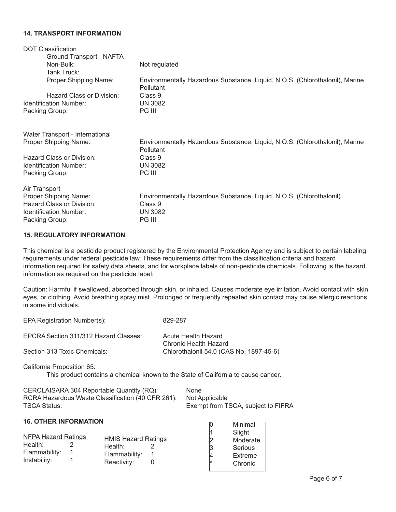#### **14. TRANSPORT INFORMATION**

| <b>DOT Classification</b>                                                                                       |                                                                                                                               |
|-----------------------------------------------------------------------------------------------------------------|-------------------------------------------------------------------------------------------------------------------------------|
| Ground Transport - NAFTA                                                                                        |                                                                                                                               |
| Non-Bulk:                                                                                                       | Not regulated                                                                                                                 |
| Tank Truck:                                                                                                     |                                                                                                                               |
| Proper Shipping Name:                                                                                           | Environmentally Hazardous Substance, Liquid, N.O.S. (Chlorothalonil), Marine<br>Pollutant                                     |
| Hazard Class or Division:                                                                                       | Class 9                                                                                                                       |
| Identification Number:                                                                                          | <b>UN 3082</b>                                                                                                                |
| Packing Group:                                                                                                  | <b>PG III</b>                                                                                                                 |
| Water Transport - International<br>Proper Shipping Name:<br>Hazard Class or Division:<br>Identification Number: | Environmentally Hazardous Substance, Liquid, N.O.S. (Chlorothalonil), Marine<br><b>Pollutant</b><br>Class 9<br><b>UN 3082</b> |
| Packing Group:                                                                                                  | <b>PG III</b>                                                                                                                 |
| Air Transport<br>Proper Shipping Name:<br>Hazard Class or Division:<br>Identification Number:                   | Environmentally Hazardous Substance, Liquid, N.O.S. (Chlorothalonil)<br>Class 9<br><b>UN 3082</b>                             |
| Packing Group:                                                                                                  | <b>PG III</b>                                                                                                                 |
|                                                                                                                 |                                                                                                                               |

# **15. REGULATORY INFORMATION**

This chemical is a pesticide product registered by the Environmental Protection Agency and is subject to certain labeling requirements under federal pesticide law. These requirements differ from the classification criteria and hazard information required for safety data sheets, and for workplace labels of non-pesticide chemicals. Following is the hazard information as required on the pesticide label:

Caution: Harmful if swallowed, absorbed through skin, or inhaled. Causes moderate eye irritation. Avoid contact with skin, eyes, or clothing. Avoid breathing spray mist. Prolonged or frequently repeated skin contact may cause allergic reactions in some individuals.

| EPCRA Section 311/312 Hazard Classes: | Acute Health Hazard                     |
|---------------------------------------|-----------------------------------------|
|                                       | Chronic Health Hazard                   |
| Section 313 Toxic Chemicals:          | Chlorothalonll 54.0 (CAS No. 1897-45-6) |

California Proposition 65:

This product contains a chemical known to the State of California to cause cancer.

| CERCLAISARA 304 Reportable Quantity (RQ):         | <b>None</b>                        |
|---------------------------------------------------|------------------------------------|
| RCRA Hazardous Waste Classification (40 CFR 261): | Not Applicable                     |
| TSCA Status:                                      | Exempt from TSCA, subject to FIFRA |

#### **16. OTHER INFORMATION**

| <b>NFPA Hazard Ratings</b> |  | <b>HMIS Hazard Ratings</b> |  |
|----------------------------|--|----------------------------|--|
| Health:                    |  | Health:                    |  |
| Flammability:              |  | Flammability:              |  |
| Instability:               |  | Reactivity:                |  |

EPA Registration Number(s): 829-287

|        | Minimal  |
|--------|----------|
|        | Slight   |
| 2<br>3 | Moderate |
|        | Serious  |
|        | Extreme  |
|        | Chronic  |